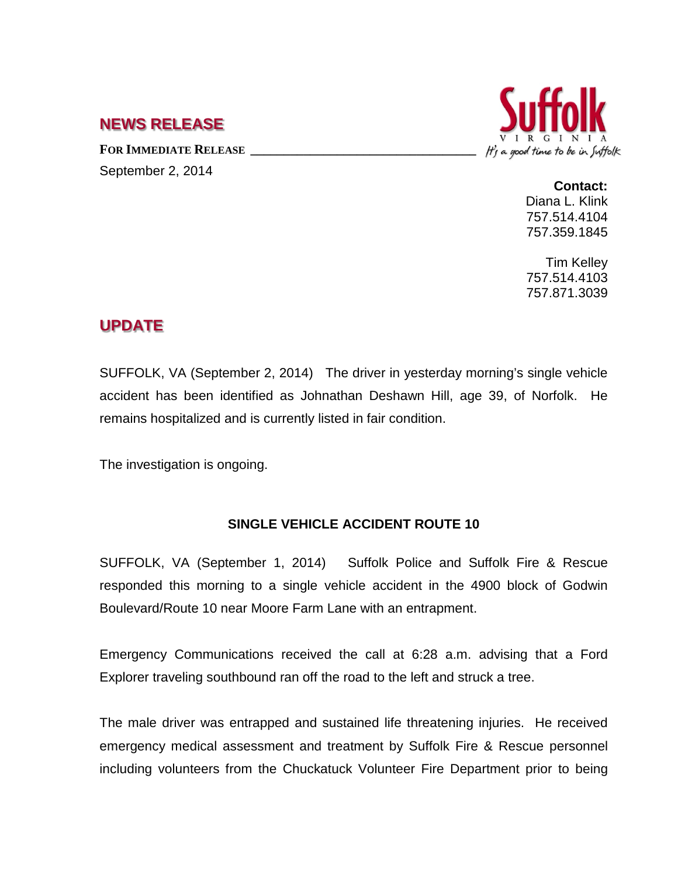## **NEWS RELEASE**

FOR IMMEDIATE RELEASE September 2, 2014



**Contact:** Diana L. Klink 757.514.4104 757.359.1845

Tim Kelley 757.514.4103 757.871.3039

## **UPDATE**

SUFFOLK, VA (September 2, 2014) The driver in yesterday morning's single vehicle accident has been identified as Johnathan Deshawn Hill, age 39, of Norfolk. He remains hospitalized and is currently listed in fair condition.

The investigation is ongoing.

## **SINGLE VEHICLE ACCIDENT ROUTE 10**

SUFFOLK, VA (September 1, 2014) Suffolk Police and Suffolk Fire & Rescue responded this morning to a single vehicle accident in the 4900 block of Godwin Boulevard/Route 10 near Moore Farm Lane with an entrapment.

Emergency Communications received the call at 6:28 a.m. advising that a Ford Explorer traveling southbound ran off the road to the left and struck a tree.

The male driver was entrapped and sustained life threatening injuries. He received emergency medical assessment and treatment by Suffolk Fire & Rescue personnel including volunteers from the Chuckatuck Volunteer Fire Department prior to being